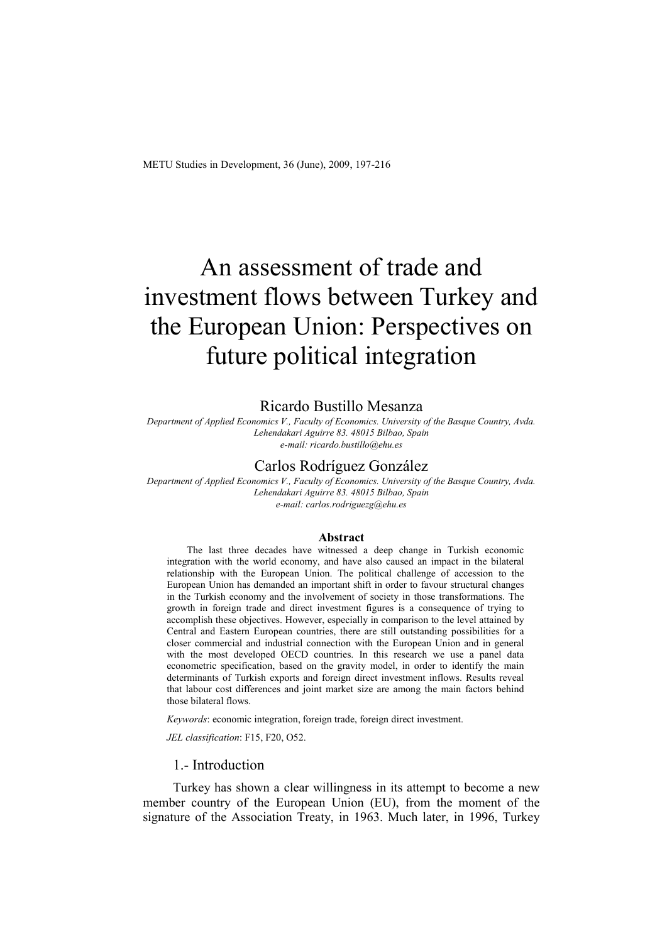# An assessment of trade and investment flows between Turkey and the European Union: Perspectives on future political integration

# Ricardo Bustillo Mesanza

*Department of Applied Economics V., Faculty of Economics. University of the Basque Country, Avda. Lehendakari Aguirre 83. 48015 Bilbao, Spain e-mail: ricardo.bustillo@ehu.es* 

### Carlos Rodríguez González

*Department of Applied Economics V., Faculty of Economics. University of the Basque Country, Avda. Lehendakari Aguirre 83. 48015 Bilbao, Spain e-mail: carlos.rodriguezg@ehu.es* 

#### **Abstract**

The last three decades have witnessed a deep change in Turkish economic integration with the world economy, and have also caused an impact in the bilateral relationship with the European Union. The political challenge of accession to the European Union has demanded an important shift in order to favour structural changes in the Turkish economy and the involvement of society in those transformations. The growth in foreign trade and direct investment figures is a consequence of trying to accomplish these objectives. However, especially in comparison to the level attained by Central and Eastern European countries, there are still outstanding possibilities for a closer commercial and industrial connection with the European Union and in general with the most developed OECD countries. In this research we use a panel data econometric specification, based on the gravity model, in order to identify the main determinants of Turkish exports and foreign direct investment inflows. Results reveal that labour cost differences and joint market size are among the main factors behind those bilateral flows.

*Keywords*: economic integration, foreign trade, foreign direct investment.

*JEL classification*: F15, F20, O52.

#### 1.- Introduction

Turkey has shown a clear willingness in its attempt to become a new member country of the European Union (EU), from the moment of the signature of the Association Treaty, in 1963. Much later, in 1996, Turkey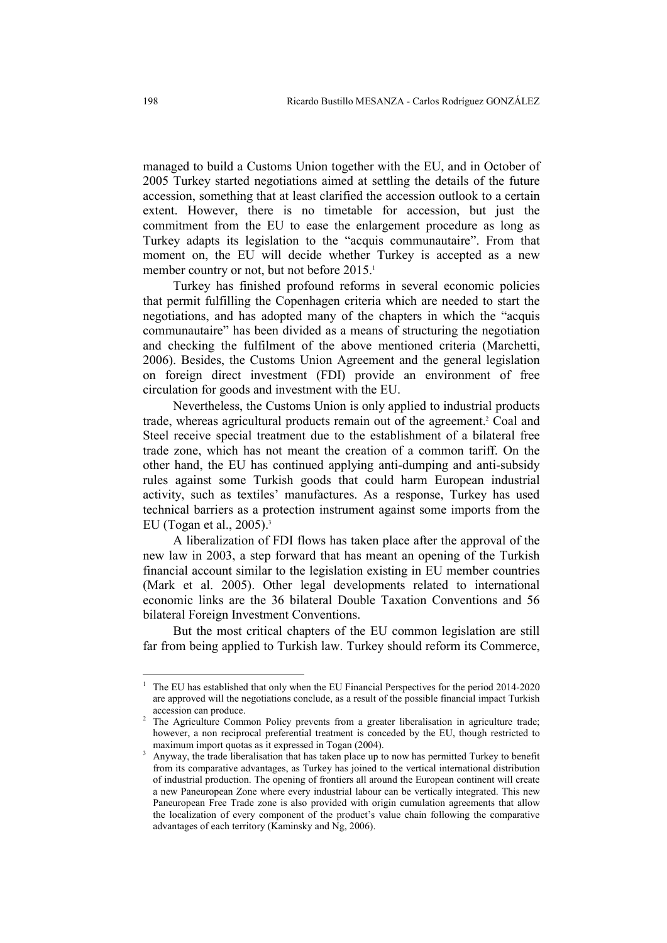managed to build a Customs Union together with the EU, and in October of 2005 Turkey started negotiations aimed at settling the details of the future accession, something that at least clarified the accession outlook to a certain extent. However, there is no timetable for accession, but just the commitment from the EU to ease the enlargement procedure as long as Turkey adapts its legislation to the "acquis communautaire". From that moment on, the EU will decide whether Turkey is accepted as a new member country or not, but not before 2015.<sup>1</sup>

Turkey has finished profound reforms in several economic policies that permit fulfilling the Copenhagen criteria which are needed to start the negotiations, and has adopted many of the chapters in which the "acquis communautaire" has been divided as a means of structuring the negotiation and checking the fulfilment of the above mentioned criteria (Marchetti, 2006). Besides, the Customs Union Agreement and the general legislation on foreign direct investment (FDI) provide an environment of free circulation for goods and investment with the EU.

Nevertheless, the Customs Union is only applied to industrial products trade, whereas agricultural products remain out of the agreement.<sup>2</sup> Coal and Steel receive special treatment due to the establishment of a bilateral free trade zone, which has not meant the creation of a common tariff. On the other hand, the EU has continued applying anti-dumping and anti-subsidy rules against some Turkish goods that could harm European industrial activity, such as textiles' manufactures. As a response, Turkey has used technical barriers as a protection instrument against some imports from the EU (Togan et al.,  $2005$ ).<sup>3</sup>

A liberalization of FDI flows has taken place after the approval of the new law in 2003, a step forward that has meant an opening of the Turkish financial account similar to the legislation existing in EU member countries (Mark et al. 2005). Other legal developments related to international economic links are the 36 bilateral Double Taxation Conventions and 56 bilateral Foreign Investment Conventions.

But the most critical chapters of the EU common legislation are still far from being applied to Turkish law. Turkey should reform its Commerce,

-

<sup>1</sup> The EU has established that only when the EU Financial Perspectives for the period 2014-2020 are approved will the negotiations conclude, as a result of the possible financial impact Turkish accession can produce.

<sup>&</sup>lt;sup>2</sup> The Agriculture Common Policy prevents from a greater liberalisation in agriculture trade; however, a non reciprocal preferential treatment is conceded by the EU, though restricted to maximum import quotas as it expressed in Togan (2004).

<sup>&</sup>lt;sup>3</sup> Anyway, the trade liberalisation that has taken place up to now has permitted Turkey to benefit from its comparative advantages, as Turkey has joined to the vertical international distribution of industrial production. The opening of frontiers all around the European continent will create a new Paneuropean Zone where every industrial labour can be vertically integrated. This new Paneuropean Free Trade zone is also provided with origin cumulation agreements that allow the localization of every component of the product's value chain following the comparative advantages of each territory (Kaminsky and Ng, 2006).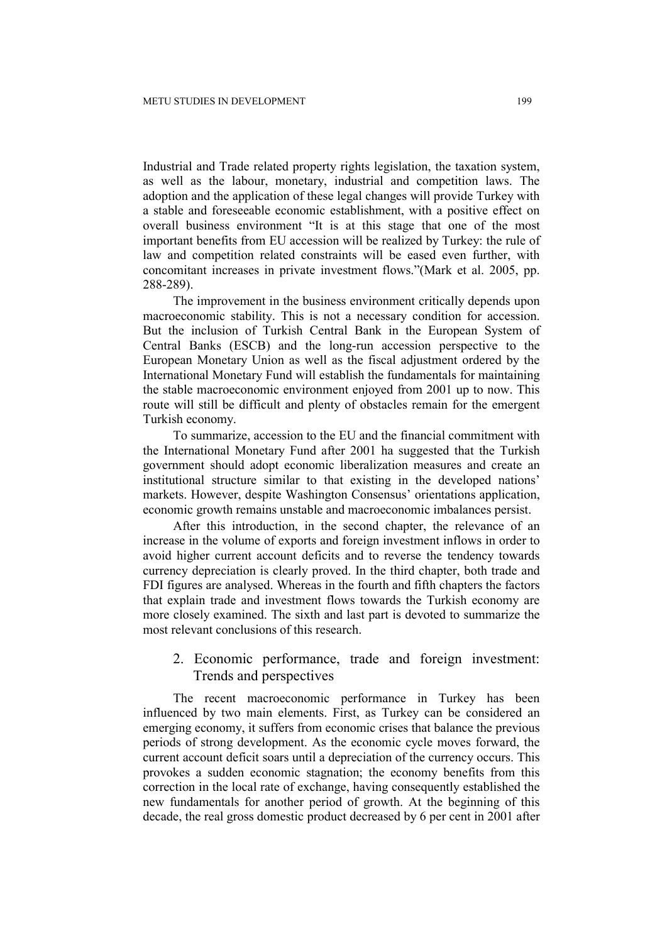Industrial and Trade related property rights legislation, the taxation system, as well as the labour, monetary, industrial and competition laws. The adoption and the application of these legal changes will provide Turkey with a stable and foreseeable economic establishment, with a positive effect on overall business environment "It is at this stage that one of the most important benefits from EU accession will be realized by Turkey: the rule of law and competition related constraints will be eased even further, with concomitant increases in private investment flows."(Mark et al. 2005, pp. 288-289).

The improvement in the business environment critically depends upon macroeconomic stability. This is not a necessary condition for accession. But the inclusion of Turkish Central Bank in the European System of Central Banks (ESCB) and the long-run accession perspective to the European Monetary Union as well as the fiscal adjustment ordered by the International Monetary Fund will establish the fundamentals for maintaining the stable macroeconomic environment enjoyed from 2001 up to now. This route will still be difficult and plenty of obstacles remain for the emergent Turkish economy.

To summarize, accession to the EU and the financial commitment with the International Monetary Fund after 2001 ha suggested that the Turkish government should adopt economic liberalization measures and create an institutional structure similar to that existing in the developed nations' markets. However, despite Washington Consensus' orientations application, economic growth remains unstable and macroeconomic imbalances persist.

After this introduction, in the second chapter, the relevance of an increase in the volume of exports and foreign investment inflows in order to avoid higher current account deficits and to reverse the tendency towards currency depreciation is clearly proved. In the third chapter, both trade and FDI figures are analysed. Whereas in the fourth and fifth chapters the factors that explain trade and investment flows towards the Turkish economy are more closely examined. The sixth and last part is devoted to summarize the most relevant conclusions of this research.

# 2. Economic performance, trade and foreign investment: Trends and perspectives

The recent macroeconomic performance in Turkey has been influenced by two main elements. First, as Turkey can be considered an emerging economy, it suffers from economic crises that balance the previous periods of strong development. As the economic cycle moves forward, the current account deficit soars until a depreciation of the currency occurs. This provokes a sudden economic stagnation; the economy benefits from this correction in the local rate of exchange, having consequently established the new fundamentals for another period of growth. At the beginning of this decade, the real gross domestic product decreased by 6 per cent in 2001 after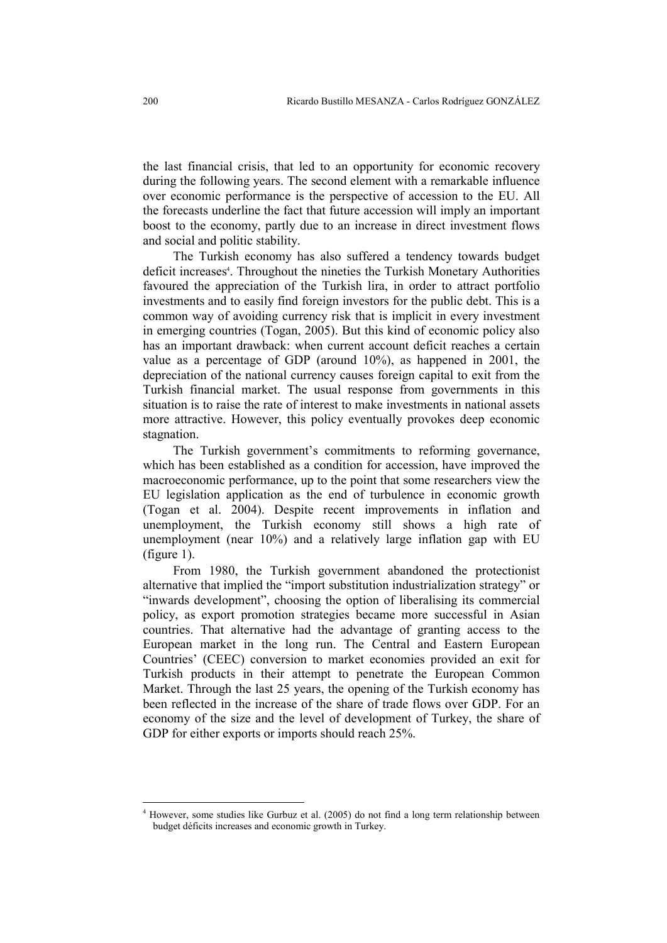the last financial crisis, that led to an opportunity for economic recovery during the following years. The second element with a remarkable influence over economic performance is the perspective of accession to the EU. All the forecasts underline the fact that future accession will imply an important boost to the economy, partly due to an increase in direct investment flows and social and politic stability.

The Turkish economy has also suffered a tendency towards budget deficit increases<sup>4</sup>. Throughout the nineties the Turkish Monetary Authorities favoured the appreciation of the Turkish lira, in order to attract portfolio investments and to easily find foreign investors for the public debt. This is a common way of avoiding currency risk that is implicit in every investment in emerging countries (Togan, 2005). But this kind of economic policy also has an important drawback: when current account deficit reaches a certain value as a percentage of GDP (around 10%), as happened in 2001, the depreciation of the national currency causes foreign capital to exit from the Turkish financial market. The usual response from governments in this situation is to raise the rate of interest to make investments in national assets more attractive. However, this policy eventually provokes deep economic stagnation.

The Turkish government's commitments to reforming governance, which has been established as a condition for accession, have improved the macroeconomic performance, up to the point that some researchers view the EU legislation application as the end of turbulence in economic growth (Togan et al. 2004). Despite recent improvements in inflation and unemployment, the Turkish economy still shows a high rate of unemployment (near 10%) and a relatively large inflation gap with EU (figure 1).

From 1980, the Turkish government abandoned the protectionist alternative that implied the "import substitution industrialization strategy" or "inwards development", choosing the option of liberalising its commercial policy, as export promotion strategies became more successful in Asian countries. That alternative had the advantage of granting access to the European market in the long run. The Central and Eastern European Countries' (CEEC) conversion to market economies provided an exit for Turkish products in their attempt to penetrate the European Common Market. Through the last 25 years, the opening of the Turkish economy has been reflected in the increase of the share of trade flows over GDP. For an economy of the size and the level of development of Turkey, the share of GDP for either exports or imports should reach 25%.

<sup>&</sup>lt;sup>4</sup> However, some studies like Gurbuz et al. (2005) do not find a long term relationship between budget déficits increases and economic growth in Turkey.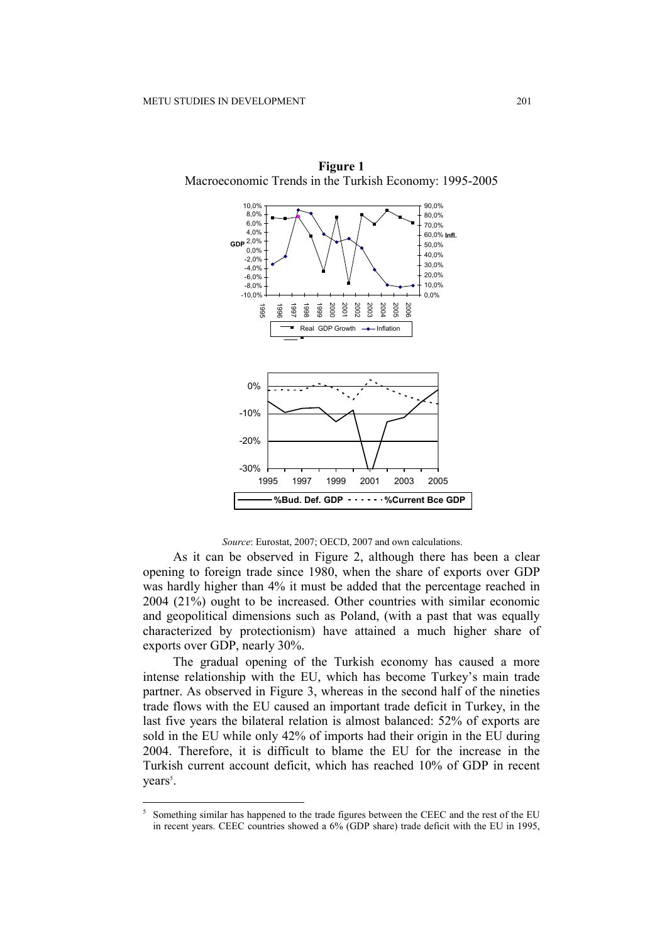

**Figure 1**  Macroeconomic Trends in the Turkish Economy: 1995-2005

*Source*: Eurostat, 2007; OECD, 2007 and own calculations.

As it can be observed in Figure 2, although there has been a clear opening to foreign trade since 1980, when the share of exports over GDP was hardly higher than 4% it must be added that the percentage reached in 2004 (21%) ought to be increased. Other countries with similar economic and geopolitical dimensions such as Poland, (with a past that was equally characterized by protectionism) have attained a much higher share of exports over GDP, nearly 30%.

The gradual opening of the Turkish economy has caused a more intense relationship with the EU, which has become Turkey's main trade partner. As observed in Figure 3, whereas in the second half of the nineties trade flows with the EU caused an important trade deficit in Turkey, in the last five years the bilateral relation is almost balanced: 52% of exports are sold in the EU while only 42% of imports had their origin in the EU during 2004. Therefore, it is difficult to blame the EU for the increase in the Turkish current account deficit, which has reached 10% of GDP in recent years<sup>5</sup>.

<sup>5</sup> Something similar has happened to the trade figures between the CEEC and the rest of the EU in recent years. CEEC countries showed a 6% (GDP share) trade deficit with the EU in 1995,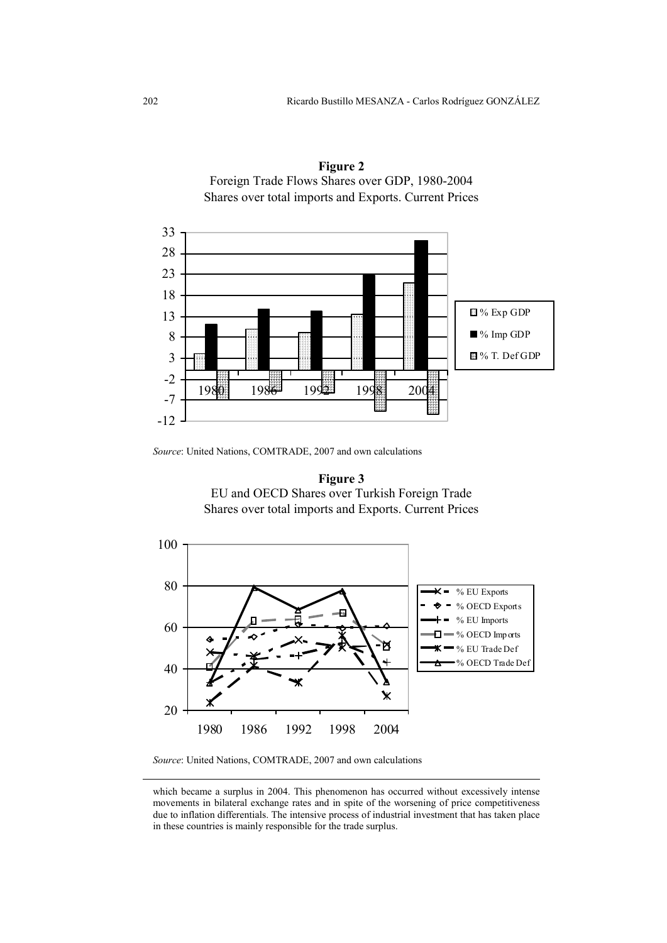



*Source*: United Nations, COMTRADE, 2007 and own calculations





*Source*: United Nations, COMTRADE, 2007 and own calculations

<u>.</u>

which became a surplus in 2004. This phenomenon has occurred without excessively intense movements in bilateral exchange rates and in spite of the worsening of price competitiveness due to inflation differentials. The intensive process of industrial investment that has taken place in these countries is mainly responsible for the trade surplus.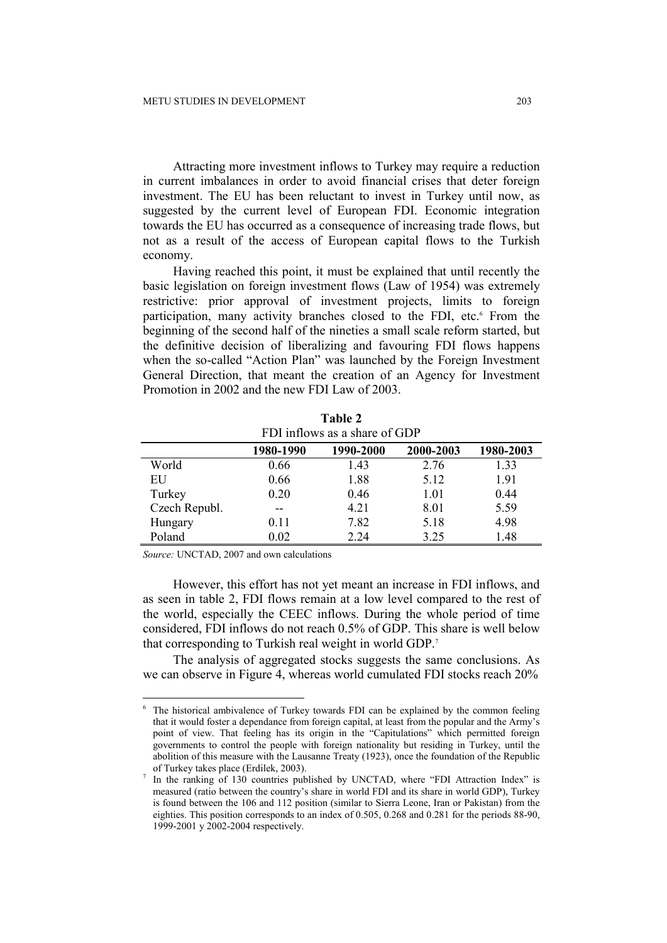Attracting more investment inflows to Turkey may require a reduction in current imbalances in order to avoid financial crises that deter foreign investment. The EU has been reluctant to invest in Turkey until now, as suggested by the current level of European FDI. Economic integration towards the EU has occurred as a consequence of increasing trade flows, but not as a result of the access of European capital flows to the Turkish economy.

Having reached this point, it must be explained that until recently the basic legislation on foreign investment flows (Law of 1954) was extremely restrictive: prior approval of investment projects, limits to foreign participation, many activity branches closed to the FDI, etc.<sup>6</sup> From the beginning of the second half of the nineties a small scale reform started, but the definitive decision of liberalizing and favouring FDI flows happens when the so-called "Action Plan" was launched by the Foreign Investment General Direction, that meant the creation of an Agency for Investment Promotion in 2002 and the new FDI Law of 2003.

| FDI inflows as a share of GDP |           |           |           |           |
|-------------------------------|-----------|-----------|-----------|-----------|
|                               | 1980-1990 | 1990-2000 | 2000-2003 | 1980-2003 |
| World                         | 0.66      | 1.43      | 2.76      | 1.33      |
| EU                            | 0.66      | 1.88      | 5.12      | 1.91      |
| Turkey                        | 0.20      | 0.46      | 1.01      | 0.44      |
| Czech Republ.                 | --        | 4.21      | 8.01      | 5.59      |
| Hungary                       | 0.11      | 7.82      | 5.18      | 4.98      |
| Poland                        | 0.02      | 2 2 4     | 3.25      | 1.48      |

| Table 2                        |  |  |
|--------------------------------|--|--|
| EDI infloure as a share of GDP |  |  |

*Source:* UNCTAD, 2007 and own calculations

-

However, this effort has not yet meant an increase in FDI inflows, and as seen in table 2, FDI flows remain at a low level compared to the rest of the world, especially the CEEC inflows. During the whole period of time considered, FDI inflows do not reach 0.5% of GDP. This share is well below that corresponding to Turkish real weight in world GDP.<sup>7</sup>

The analysis of aggregated stocks suggests the same conclusions. As we can observe in Figure 4, whereas world cumulated FDI stocks reach 20%

<sup>6</sup> The historical ambivalence of Turkey towards FDI can be explained by the common feeling that it would foster a dependance from foreign capital, at least from the popular and the Army's point of view. That feeling has its origin in the "Capitulations" which permitted foreign governments to control the people with foreign nationality but residing in Turkey, until the abolition of this measure with the Lausanne Treaty (1923), once the foundation of the Republic of Turkey takes place (Erdilek, 2003).

<sup>7</sup> In the ranking of 130 countries published by UNCTAD, where "FDI Attraction Index" is measured (ratio between the country's share in world FDI and its share in world GDP), Turkey is found between the 106 and 112 position (similar to Sierra Leone, Iran or Pakistan) from the eighties. This position corresponds to an index of 0.505, 0.268 and 0.281 for the periods 88-90, 1999-2001 y 2002-2004 respectively.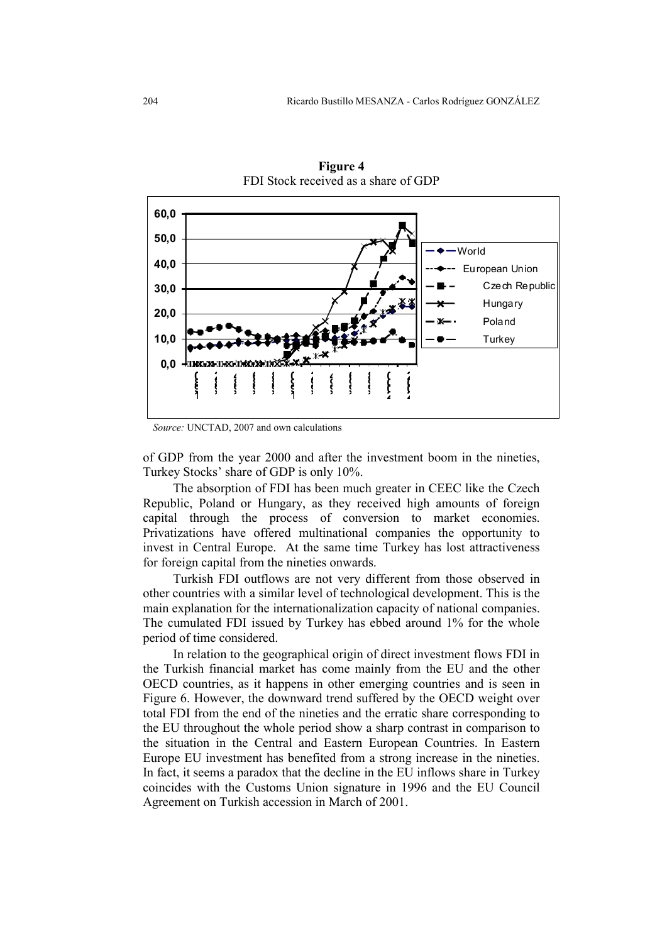

**Figure 4**  FDI Stock received as a share of GDP

*Source:* UNCTAD, 2007 and own calculations

of GDP from the year 2000 and after the investment boom in the nineties, Turkey Stocks' share of GDP is only 10%.

The absorption of FDI has been much greater in CEEC like the Czech Republic, Poland or Hungary, as they received high amounts of foreign capital through the process of conversion to market economies. Privatizations have offered multinational companies the opportunity to invest in Central Europe. At the same time Turkey has lost attractiveness for foreign capital from the nineties onwards.

Turkish FDI outflows are not very different from those observed in other countries with a similar level of technological development. This is the main explanation for the internationalization capacity of national companies. The cumulated FDI issued by Turkey has ebbed around 1% for the whole period of time considered.

In relation to the geographical origin of direct investment flows FDI in the Turkish financial market has come mainly from the EU and the other OECD countries, as it happens in other emerging countries and is seen in Figure 6. However, the downward trend suffered by the OECD weight over total FDI from the end of the nineties and the erratic share corresponding to the EU throughout the whole period show a sharp contrast in comparison to the situation in the Central and Eastern European Countries. In Eastern Europe EU investment has benefited from a strong increase in the nineties. In fact, it seems a paradox that the decline in the EU inflows share in Turkey coincides with the Customs Union signature in 1996 and the EU Council Agreement on Turkish accession in March of 2001.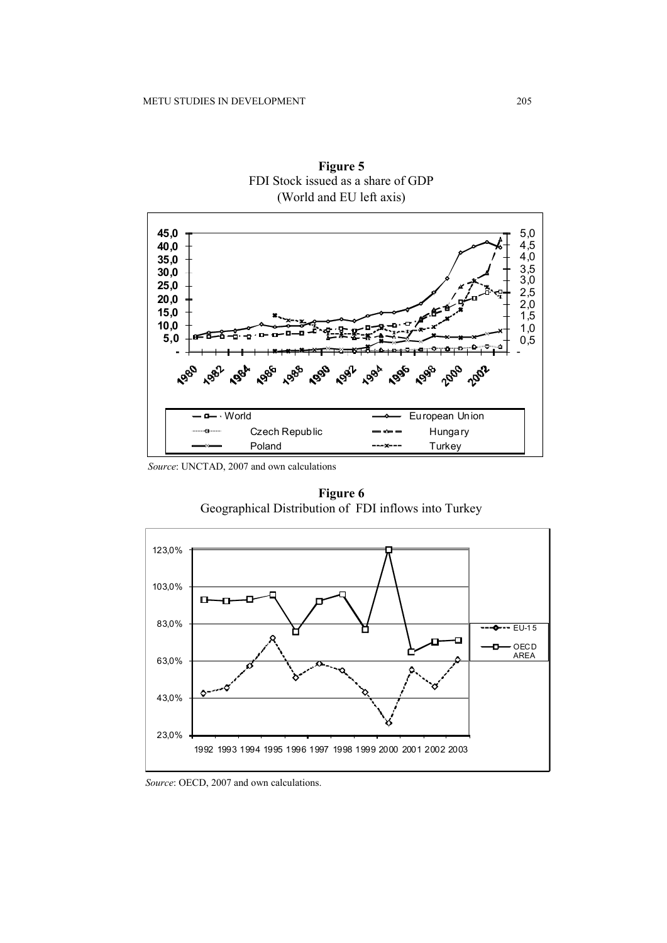

**Figure 5**  FDI Stock issued as a share of GDP (World and EU left axis)

*Source*: UNCTAD, 2007 and own calculations

**Figure 6**  Geographical Distribution of FDI inflows into Turkey



 *Source*: OECD, 2007 and own calculations.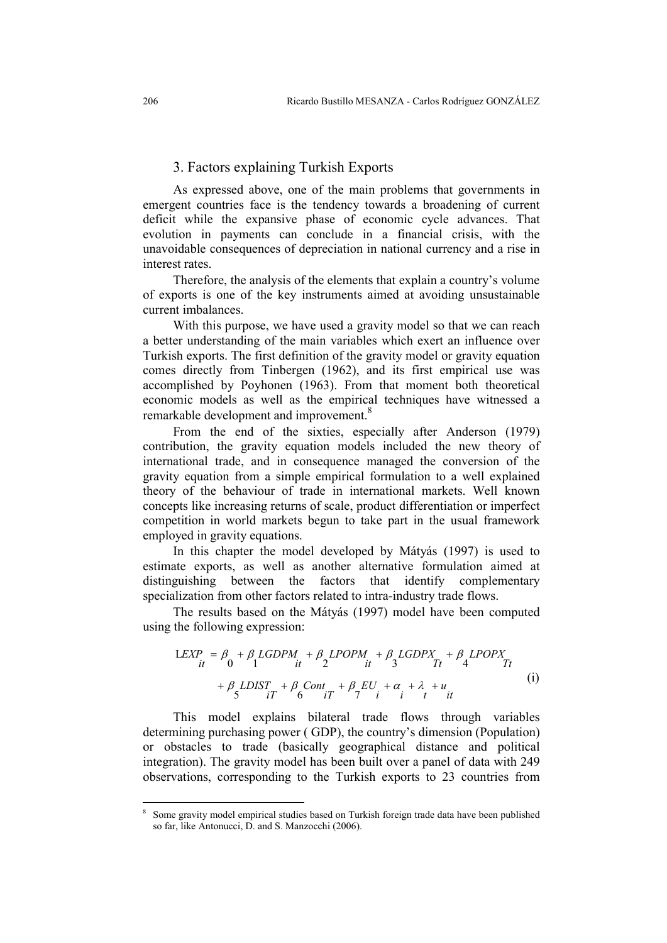### 3. Factors explaining Turkish Exports

As expressed above, one of the main problems that governments in emergent countries face is the tendency towards a broadening of current deficit while the expansive phase of economic cycle advances. That evolution in payments can conclude in a financial crisis, with the unavoidable consequences of depreciation in national currency and a rise in interest rates.

Therefore, the analysis of the elements that explain a country's volume of exports is one of the key instruments aimed at avoiding unsustainable current imbalances.

With this purpose, we have used a gravity model so that we can reach a better understanding of the main variables which exert an influence over Turkish exports. The first definition of the gravity model or gravity equation comes directly from Tinbergen (1962), and its first empirical use was accomplished by Poyhonen (1963). From that moment both theoretical economic models as well as the empirical techniques have witnessed a remarkable development and improvement.<sup>8</sup>

From the end of the sixties, especially after Anderson (1979) contribution, the gravity equation models included the new theory of international trade, and in consequence managed the conversion of the gravity equation from a simple empirical formulation to a well explained theory of the behaviour of trade in international markets. Well known concepts like increasing returns of scale, product differentiation or imperfect competition in world markets begun to take part in the usual framework employed in gravity equations.

In this chapter the model developed by Mátyás (1997) is used to estimate exports, as well as another alternative formulation aimed at distinguishing between the factors that identify complementary specialization from other factors related to intra-industry trade flows.

The results based on the Mátyás (1997) model have been computed using the following expression:

$$
LEXP = \beta_0 + \beta_1 LGDPM + \beta_2 LPOPM + \beta_3 LGDPX + \beta_4 LPOPX
$$
  
+  $\beta_5 LDIST + \beta_6 Cont + \beta_5 EU + \alpha_7 + \lambda_8 + u_9$   
(i)

This model explains bilateral trade flows through variables determining purchasing power ( GDP), the country's dimension (Population) or obstacles to trade (basically geographical distance and political integration). The gravity model has been built over a panel of data with 249 observations, corresponding to the Turkish exports to 23 countries from

<sup>8</sup> Some gravity model empirical studies based on Turkish foreign trade data have been published so far, like Antonucci, D. and S. Manzocchi (2006).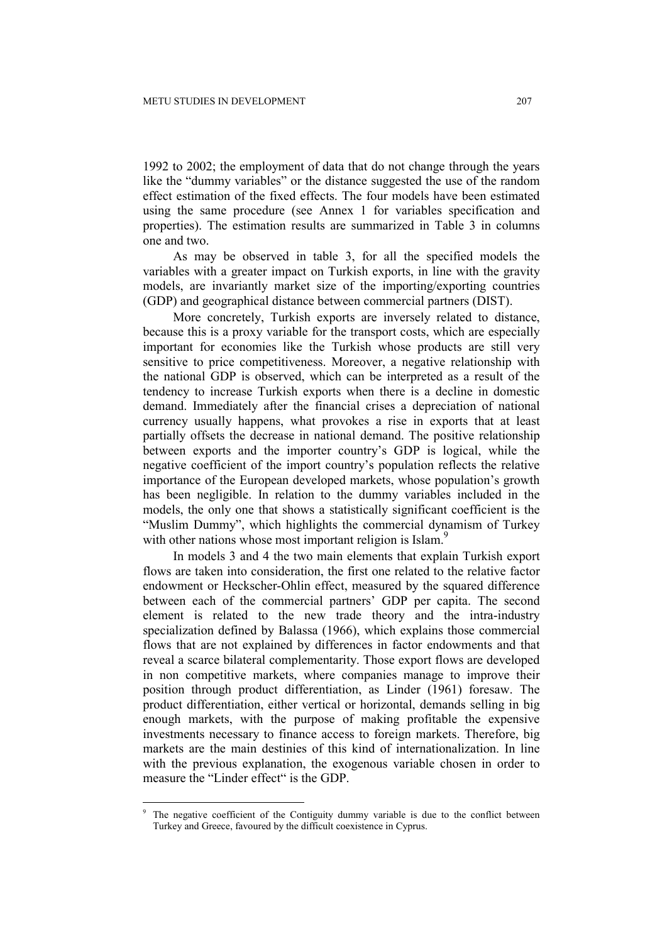1992 to 2002; the employment of data that do not change through the years like the "dummy variables" or the distance suggested the use of the random effect estimation of the fixed effects. The four models have been estimated using the same procedure (see Annex 1 for variables specification and properties). The estimation results are summarized in Table 3 in columns one and two.

As may be observed in table 3, for all the specified models the variables with a greater impact on Turkish exports, in line with the gravity models, are invariantly market size of the importing/exporting countries (GDP) and geographical distance between commercial partners (DIST).

More concretely, Turkish exports are inversely related to distance, because this is a proxy variable for the transport costs, which are especially important for economies like the Turkish whose products are still very sensitive to price competitiveness. Moreover, a negative relationship with the national GDP is observed, which can be interpreted as a result of the tendency to increase Turkish exports when there is a decline in domestic demand. Immediately after the financial crises a depreciation of national currency usually happens, what provokes a rise in exports that at least partially offsets the decrease in national demand. The positive relationship between exports and the importer country's GDP is logical, while the negative coefficient of the import country's population reflects the relative importance of the European developed markets, whose population's growth has been negligible. In relation to the dummy variables included in the models, the only one that shows a statistically significant coefficient is the "Muslim Dummy", which highlights the commercial dynamism of Turkey with other nations whose most important religion is Islam.<sup>9</sup>

In models 3 and 4 the two main elements that explain Turkish export flows are taken into consideration, the first one related to the relative factor endowment or Heckscher-Ohlin effect, measured by the squared difference between each of the commercial partners' GDP per capita. The second element is related to the new trade theory and the intra-industry specialization defined by Balassa (1966), which explains those commercial flows that are not explained by differences in factor endowments and that reveal a scarce bilateral complementarity. Those export flows are developed in non competitive markets, where companies manage to improve their position through product differentiation, as Linder (1961) foresaw. The product differentiation, either vertical or horizontal, demands selling in big enough markets, with the purpose of making profitable the expensive investments necessary to finance access to foreign markets. Therefore, big markets are the main destinies of this kind of internationalization. In line with the previous explanation, the exogenous variable chosen in order to measure the "Linder effect" is the GDP.

<sup>9</sup> The negative coefficient of the Contiguity dummy variable is due to the conflict between Turkey and Greece, favoured by the difficult coexistence in Cyprus.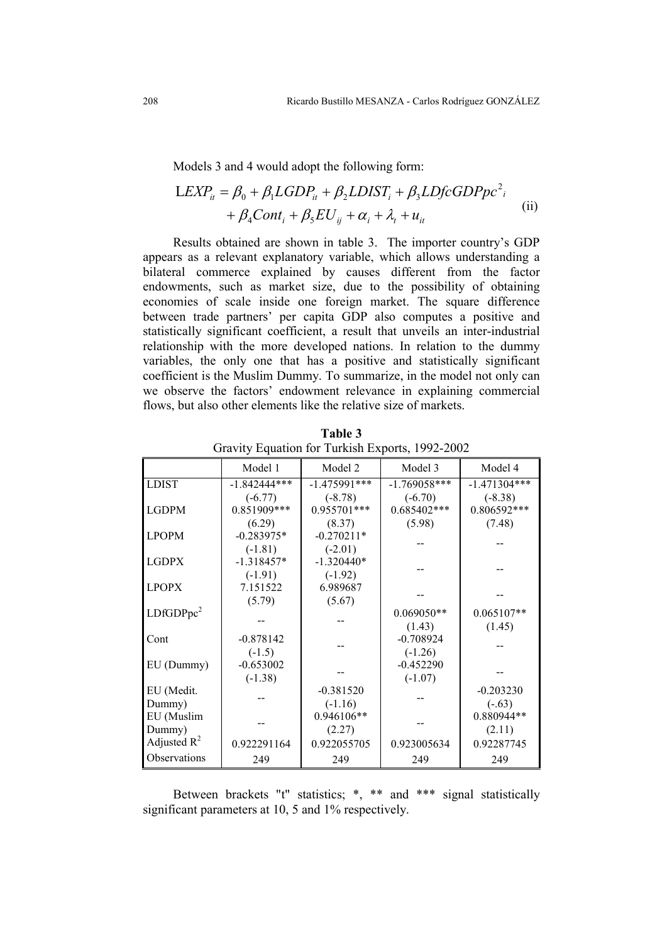Models 3 and 4 would adopt the following form:

$$
LEXP_{it} = \beta_0 + \beta_1 LGDP_{it} + \beta_2 LDIST_i + \beta_3 LDf cGDPpc^2_{i} + \beta_4 Cont_i + \beta_5 EU_{ij} + \alpha_i + \lambda_t + u_{it}
$$
 (ii)

Results obtained are shown in table 3. The importer country's GDP appears as a relevant explanatory variable, which allows understanding a bilateral commerce explained by causes different from the factor endowments, such as market size, due to the possibility of obtaining economies of scale inside one foreign market. The square difference between trade partners' per capita GDP also computes a positive and statistically significant coefficient, a result that unveils an inter-industrial relationship with the more developed nations. In relation to the dummy variables, the only one that has a positive and statistically significant coefficient is the Muslim Dummy. To summarize, in the model not only can we observe the factors' endowment relevance in explaining commercial flows, but also other elements like the relative size of markets.

|                       | Model 1        | Model 2        | Model 3        | Model 4        |  |
|-----------------------|----------------|----------------|----------------|----------------|--|
| <b>LDIST</b>          | $-1.842444***$ | $-1.475991***$ | $-1.769058***$ | $-1.471304***$ |  |
|                       | $(-6.77)$      | $(-8.78)$      | $(-6.70)$      | $(-8.38)$      |  |
| <b>LGDPM</b>          | 0.851909***    | 0.955701***    | $0.685402***$  | 0.806592***    |  |
|                       | (6.29)         | (8.37)         | (5.98)         | (7.48)         |  |
| <b>LPOPM</b>          | $-0.283975*$   | $-0.270211*$   |                |                |  |
|                       | $(-1.81)$      | $(-2.01)$      |                |                |  |
| <b>LGDPX</b>          | $-1.318457*$   | $-1.320440*$   |                |                |  |
|                       | $(-1.91)$      | $(-1.92)$      |                |                |  |
| <b>LPOPX</b>          | 7.151522       | 6.989687       |                |                |  |
|                       | (5.79)         | (5.67)         |                |                |  |
| LDfGDPpc <sup>2</sup> |                |                | $0.069050**$   | $0.065107**$   |  |
|                       |                |                | (1.43)         | (1.45)         |  |
| Cont                  | $-0.878142$    |                | $-0.708924$    |                |  |
|                       | $(-1.5)$       |                | $(-1.26)$      |                |  |
| EU (Dummy)            | $-0.653002$    |                | $-0.452290$    |                |  |
|                       | $(-1.38)$      |                | $(-1.07)$      |                |  |
| EU (Medit.            |                | $-0.381520$    |                | $-0.203230$    |  |
| Dummy)                |                | $(-1.16)$      |                | $(-.63)$       |  |
| EU (Muslim            |                | 0.946106**     |                | 0.880944**     |  |
| Dummy)                |                | (2.27)         |                | (2.11)         |  |
| Adjusted $R^2$        | 0.922291164    | 0.922055705    | 0.923005634    | 0.92287745     |  |
| Observations          | 249            | 249            | 249            | 249            |  |

**Table 3**  Gravity Equation for Turkish Exports, 1992-2002

Between brackets "t" statistics; \*, \*\* and \*\*\* signal statistically significant parameters at 10, 5 and 1% respectively.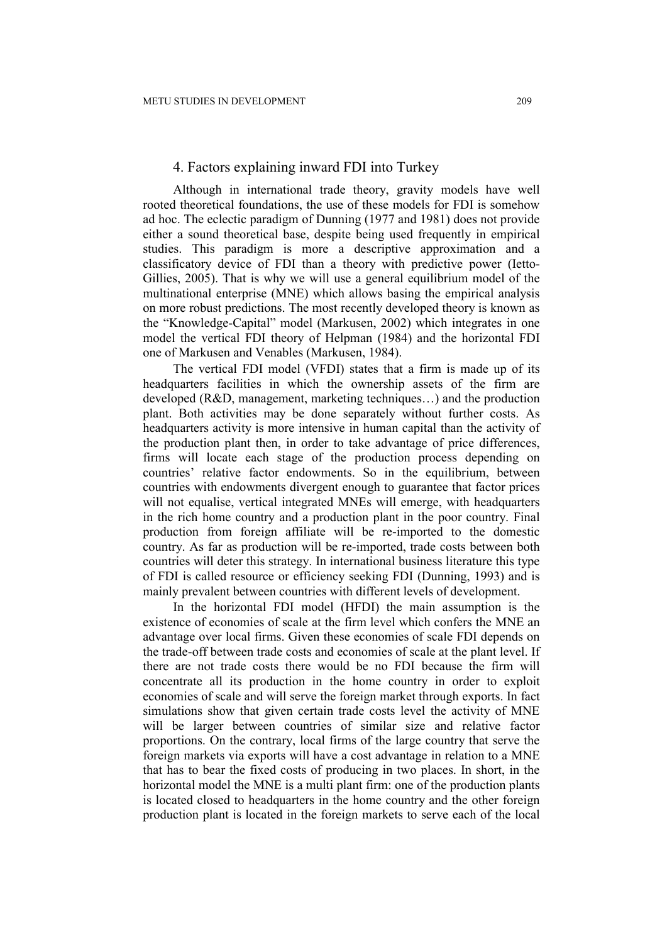#### 4. Factors explaining inward FDI into Turkey

Although in international trade theory, gravity models have well rooted theoretical foundations, the use of these models for FDI is somehow ad hoc. The eclectic paradigm of Dunning (1977 and 1981) does not provide either a sound theoretical base, despite being used frequently in empirical studies. This paradigm is more a descriptive approximation and a classificatory device of FDI than a theory with predictive power (Ietto-Gillies, 2005). That is why we will use a general equilibrium model of the multinational enterprise (MNE) which allows basing the empirical analysis on more robust predictions. The most recently developed theory is known as the "Knowledge-Capital" model (Markusen, 2002) which integrates in one model the vertical FDI theory of Helpman (1984) and the horizontal FDI one of Markusen and Venables (Markusen, 1984).

The vertical FDI model (VFDI) states that a firm is made up of its headquarters facilities in which the ownership assets of the firm are developed (R&D, management, marketing techniques…) and the production plant. Both activities may be done separately without further costs. As headquarters activity is more intensive in human capital than the activity of the production plant then, in order to take advantage of price differences, firms will locate each stage of the production process depending on countries' relative factor endowments. So in the equilibrium, between countries with endowments divergent enough to guarantee that factor prices will not equalise, vertical integrated MNEs will emerge, with headquarters in the rich home country and a production plant in the poor country. Final production from foreign affiliate will be re-imported to the domestic country. As far as production will be re-imported, trade costs between both countries will deter this strategy. In international business literature this type of FDI is called resource or efficiency seeking FDI (Dunning, 1993) and is mainly prevalent between countries with different levels of development.

In the horizontal FDI model (HFDI) the main assumption is the existence of economies of scale at the firm level which confers the MNE an advantage over local firms. Given these economies of scale FDI depends on the trade-off between trade costs and economies of scale at the plant level. If there are not trade costs there would be no FDI because the firm will concentrate all its production in the home country in order to exploit economies of scale and will serve the foreign market through exports. In fact simulations show that given certain trade costs level the activity of MNE will be larger between countries of similar size and relative factor proportions. On the contrary, local firms of the large country that serve the foreign markets via exports will have a cost advantage in relation to a MNE that has to bear the fixed costs of producing in two places. In short, in the horizontal model the MNE is a multi plant firm: one of the production plants is located closed to headquarters in the home country and the other foreign production plant is located in the foreign markets to serve each of the local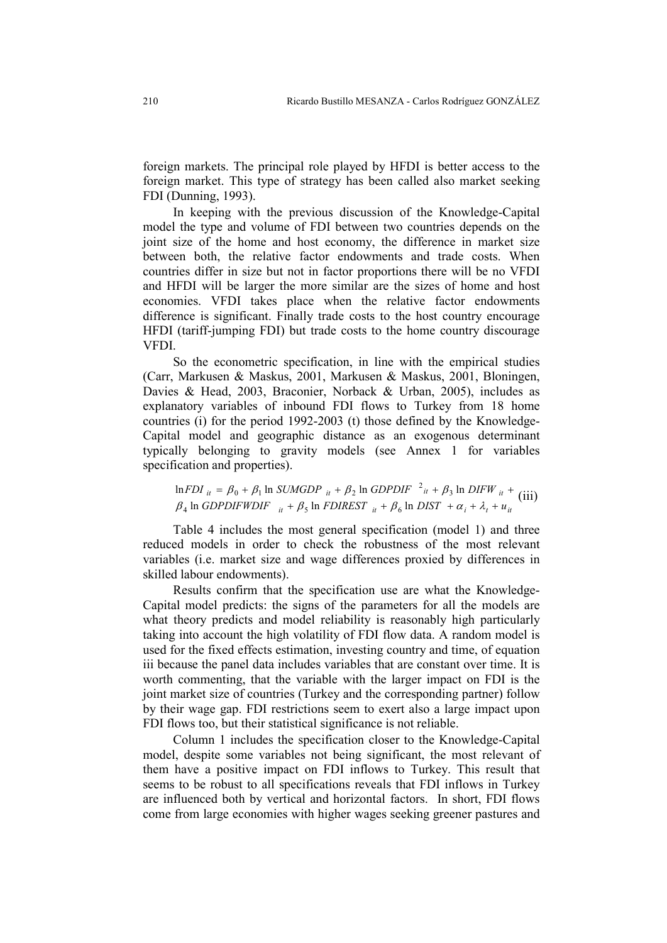foreign markets. The principal role played by HFDI is better access to the foreign market. This type of strategy has been called also market seeking FDI (Dunning, 1993).

In keeping with the previous discussion of the Knowledge-Capital model the type and volume of FDI between two countries depends on the joint size of the home and host economy, the difference in market size between both, the relative factor endowments and trade costs. When countries differ in size but not in factor proportions there will be no VFDI and HFDI will be larger the more similar are the sizes of home and host economies. VFDI takes place when the relative factor endowments difference is significant. Finally trade costs to the host country encourage HFDI (tariff-jumping FDI) but trade costs to the home country discourage VFDI.

So the econometric specification, in line with the empirical studies (Carr, Markusen & Maskus, 2001, Markusen & Maskus, 2001, Bloningen, Davies & Head, 2003, Braconier, Norback & Urban, 2005), includes as explanatory variables of inbound FDI flows to Turkey from 18 home countries (i) for the period 1992-2003 (t) those defined by the Knowledge-Capital model and geographic distance as an exogenous determinant typically belonging to gravity models (see Annex 1 for variables specification and properties).

 $i_t$  +  $\mu_5$  in *FDINESI*  $i_t$  +  $\mu_6$  in *DISI* +  $\alpha_i$  +  $\alpha_t$  +  $\alpha_{ii}$  $\mu_{it} = \mu_0 + \mu_1$  in SUMGDP  $\mu_t + \mu_2$  in GDPDIF  $\tau_{it} + \mu_3$  in DIFW  $\mu_{it}$ *GDPDIFWDIF*  $\mu + \beta_5$  ln *FDIREST*  $\mu + \beta_6$  ln *DIST*  $+\alpha_i + \lambda_i + \mu$ *FDI*  $_{it}$  =  $\beta_0$  +  $\beta_1$  ln *SUMGDP*  $_{it}$  +  $\beta_2$  ln *GDPDIF*  $\alpha_i$  +  $\beta_3$  ln *DIFW*  $+ \beta_5$  ln *FDIREST*  $_{it} + \beta_6$  ln *DIST*  $+ \alpha_i + \lambda_t +$  $= \beta_0 + \beta_1 \ln \text{SUMGDP}_{it} + \beta_2 \ln \text{GDPDF}_{it}^{-1} + \beta_3 \ln \text{DIFW}_{it} +$  $\beta_4$  ln *GDPDIFWDIF*  $\mu + \beta_5$  ln *FDIREST*  $\mu + \beta_6$  ln *DIST*  $\alpha_i + \lambda_i$  $\beta_0 + \beta_1$  ln *SUMGDP*  $_{it} + \beta_2$  ln *GDPDIF*  $\alpha_{it} + \beta_1$ ln *GDPDIFWDIF*  $i_t + \beta_5$  ln *FDIREST*  $i_t + \beta_6$  ln  $ln FDI_{it} = \beta_0 + \beta_1 ln$  SUMGDP  $it{it} + \beta_2 ln$  GDPDIF  $\lambda_i^2 + \beta_3 ln$ 4 III O*DI DII WDII*  $i_t + p_5$  III PDINESI  $i_t + p_6$  $\beta_0 + \beta_1 \ln \text{SUMGDP}_{it} + \beta_2 \ln \text{GDPDIF}^2$   $\alpha_i + \beta_3 \ln \text{DIFW}_{it} + \text{(iii)}$ 

Table 4 includes the most general specification (model 1) and three reduced models in order to check the robustness of the most relevant variables (i.e. market size and wage differences proxied by differences in skilled labour endowments).

Results confirm that the specification use are what the Knowledge-Capital model predicts: the signs of the parameters for all the models are what theory predicts and model reliability is reasonably high particularly taking into account the high volatility of FDI flow data. A random model is used for the fixed effects estimation, investing country and time, of equation iii because the panel data includes variables that are constant over time. It is worth commenting, that the variable with the larger impact on FDI is the joint market size of countries (Turkey and the corresponding partner) follow by their wage gap. FDI restrictions seem to exert also a large impact upon FDI flows too, but their statistical significance is not reliable.

Column 1 includes the specification closer to the Knowledge-Capital model, despite some variables not being significant, the most relevant of them have a positive impact on FDI inflows to Turkey. This result that seems to be robust to all specifications reveals that FDI inflows in Turkey are influenced both by vertical and horizontal factors. In short, FDI flows come from large economies with higher wages seeking greener pastures and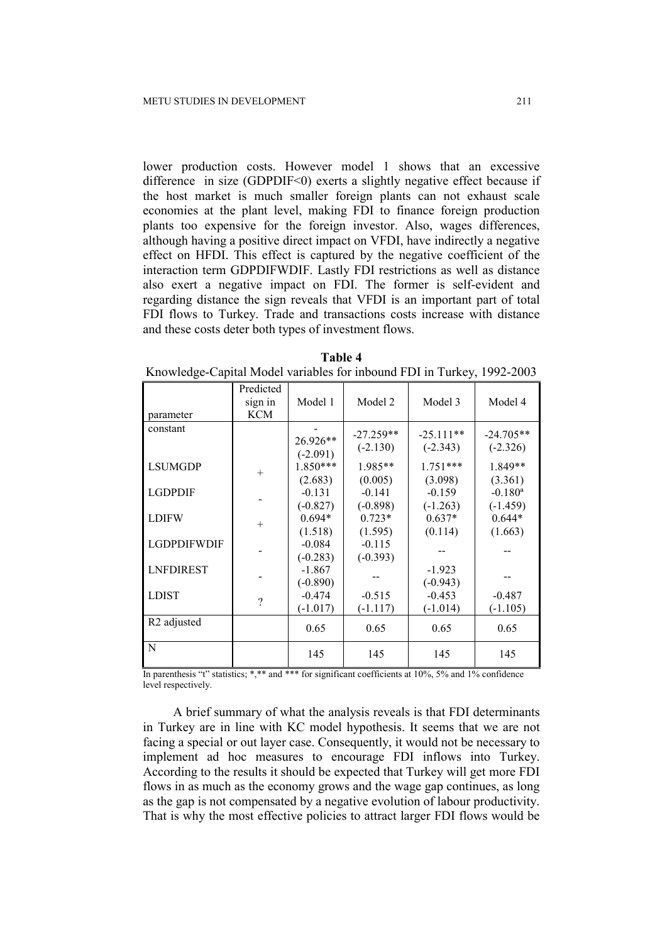lower production costs. However model 1 shows that an excessive difference in size (GDPDIF $\leq$ 0) exerts a slightly negative effect because if the host market is much smaller foreign plants can not exhaust scale economies at the plant level, making FDI to finance foreign production plants too expensive for the foreign investor. Also, wages differences, although having a positive direct impact on VFDI, have indirectly a negative effect on HFDI. This effect is captured by the negative coefficient of the interaction term GDPDIFWDIF. Lastly FDI restrictions as well as distance also exert a negative impact on FDI. The former is self-evident and regarding distance the sign reveals that VFDI is an important part of total FDI flows to Turkey. Trade and transactions costs increase with distance and these costs deter both types of investment flows.

| Table 4                                                                |  |
|------------------------------------------------------------------------|--|
| Knowledge-Capital Model variables for inbound FDI in Turkey, 1992-2003 |  |

| parameter               | Predicted<br>sign in<br><b>KCM</b> | Model 1                           | Model 2                           | Model 3                           | Model 4                                        |
|-------------------------|------------------------------------|-----------------------------------|-----------------------------------|-----------------------------------|------------------------------------------------|
| constant                |                                    | 26.926**                          | $-27.259**$<br>$(-2.130)$         | $-25.111**$<br>$(-2.343)$         | $-24.705**$<br>$(-2.326)$                      |
| <b>LSUMGDP</b>          | $^{+}$                             | $(-2.091)$<br>1.850***            | $1.985**$                         | $1.751***$                        | $1.849**$                                      |
| <b>LGDPDIF</b>          |                                    | (2.683)<br>$-0.131$<br>$(-0.827)$ | (0.005)<br>$-0.141$<br>$(-0.898)$ | (3.098)<br>$-0.159$<br>$(-1.263)$ | (3.361)<br>$-0.180$ <sup>a</sup><br>$(-1.459)$ |
| <b>LDIFW</b>            | $+$                                | $0.694*$<br>(1.518)               | $0.723*$<br>(1.595)               | $0.637*$<br>(0.114)               | $0.644*$<br>(1.663)                            |
| <b>LGDPDIFWDIF</b>      |                                    | $-0.084$<br>$(-0.283)$            | $-0.115$<br>$(-0.393)$            |                                   |                                                |
| <b>LNFDIREST</b>        |                                    | $-1.867$<br>$(-0.890)$            |                                   | $-1.923$<br>$(-0.943)$            |                                                |
| <b>LDIST</b>            | $\gamma$                           | $-0.474$<br>$(-1.017)$            | $-0.515$<br>$(-1.117)$            | $-0.453$<br>$(-1.014)$            | $-0.487$<br>$(-1.105)$                         |
| R <sub>2</sub> adjusted |                                    | 0.65                              | 0.65                              | 0.65                              | 0.65                                           |
| N                       |                                    | 145                               | 145                               | 145                               | 145                                            |

In parenthesis "t" statistics; \*,\*\* and \*\*\* for significant coefficients at 10%, 5% and 1% confidence level respectively.

A brief summary of what the analysis reveals is that FDI determinants in Turkey are in line with KC model hypothesis. It seems that we are not facing a special or out layer case. Consequently, it would not be necessary to implement ad hoc measures to encourage FDI inflows into Turkey. According to the results it should be expected that Turkey will get more FDI flows in as much as the economy grows and the wage gap continues, as long as the gap is not compensated by a negative evolution of labour productivity. That is why the most effective policies to attract larger FDI flows would be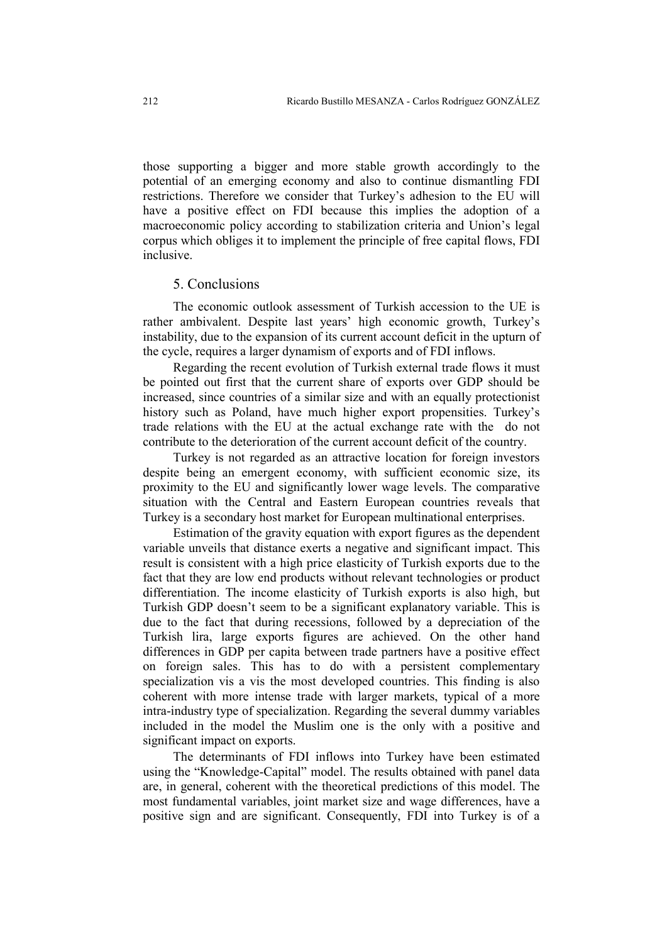those supporting a bigger and more stable growth accordingly to the potential of an emerging economy and also to continue dismantling FDI restrictions. Therefore we consider that Turkey's adhesion to the EU will have a positive effect on FDI because this implies the adoption of a macroeconomic policy according to stabilization criteria and Union's legal corpus which obliges it to implement the principle of free capital flows, FDI inclusive.

#### 5. Conclusions

The economic outlook assessment of Turkish accession to the UE is rather ambivalent. Despite last years' high economic growth, Turkey's instability, due to the expansion of its current account deficit in the upturn of the cycle, requires a larger dynamism of exports and of FDI inflows.

Regarding the recent evolution of Turkish external trade flows it must be pointed out first that the current share of exports over GDP should be increased, since countries of a similar size and with an equally protectionist history such as Poland, have much higher export propensities. Turkey's trade relations with the EU at the actual exchange rate with the do not contribute to the deterioration of the current account deficit of the country.

Turkey is not regarded as an attractive location for foreign investors despite being an emergent economy, with sufficient economic size, its proximity to the EU and significantly lower wage levels. The comparative situation with the Central and Eastern European countries reveals that Turkey is a secondary host market for European multinational enterprises.

Estimation of the gravity equation with export figures as the dependent variable unveils that distance exerts a negative and significant impact. This result is consistent with a high price elasticity of Turkish exports due to the fact that they are low end products without relevant technologies or product differentiation. The income elasticity of Turkish exports is also high, but Turkish GDP doesn't seem to be a significant explanatory variable. This is due to the fact that during recessions, followed by a depreciation of the Turkish lira, large exports figures are achieved. On the other hand differences in GDP per capita between trade partners have a positive effect on foreign sales. This has to do with a persistent complementary specialization vis a vis the most developed countries. This finding is also coherent with more intense trade with larger markets, typical of a more intra-industry type of specialization. Regarding the several dummy variables included in the model the Muslim one is the only with a positive and significant impact on exports.

The determinants of FDI inflows into Turkey have been estimated using the "Knowledge-Capital" model. The results obtained with panel data are, in general, coherent with the theoretical predictions of this model. The most fundamental variables, joint market size and wage differences, have a positive sign and are significant. Consequently, FDI into Turkey is of a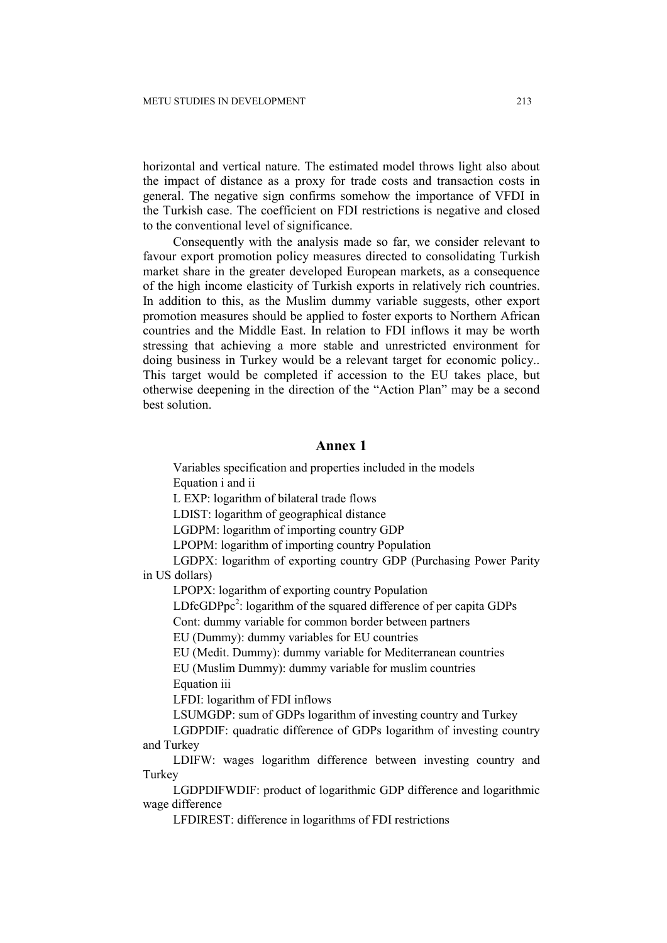horizontal and vertical nature. The estimated model throws light also about the impact of distance as a proxy for trade costs and transaction costs in general. The negative sign confirms somehow the importance of VFDI in the Turkish case. The coefficient on FDI restrictions is negative and closed to the conventional level of significance.

Consequently with the analysis made so far, we consider relevant to favour export promotion policy measures directed to consolidating Turkish market share in the greater developed European markets, as a consequence of the high income elasticity of Turkish exports in relatively rich countries. In addition to this, as the Muslim dummy variable suggests, other export promotion measures should be applied to foster exports to Northern African countries and the Middle East. In relation to FDI inflows it may be worth stressing that achieving a more stable and unrestricted environment for doing business in Turkey would be a relevant target for economic policy.. This target would be completed if accession to the EU takes place, but otherwise deepening in the direction of the "Action Plan" may be a second best solution.

#### **Annex 1**

Variables specification and properties included in the models Equation i and ii

L EXP: logarithm of bilateral trade flows

LDIST: logarithm of geographical distance

LGDPM: logarithm of importing country GDP

LPOPM: logarithm of importing country Population

LGDPX: logarithm of exporting country GDP (Purchasing Power Parity in US dollars)

LPOPX: logarithm of exporting country Population

LDfc $GDPpc<sup>2</sup>$ : logarithm of the squared difference of per capita  $GDPs$ 

Cont: dummy variable for common border between partners

EU (Dummy): dummy variables for EU countries

EU (Medit. Dummy): dummy variable for Mediterranean countries

EU (Muslim Dummy): dummy variable for muslim countries Equation iii

LFDI: logarithm of FDI inflows

LSUMGDP: sum of GDPs logarithm of investing country and Turkey

LGDPDIF: quadratic difference of GDPs logarithm of investing country and Turkey

LDIFW: wages logarithm difference between investing country and **Turkey** 

LGDPDIFWDIF: product of logarithmic GDP difference and logarithmic wage difference

LFDIREST: difference in logarithms of FDI restrictions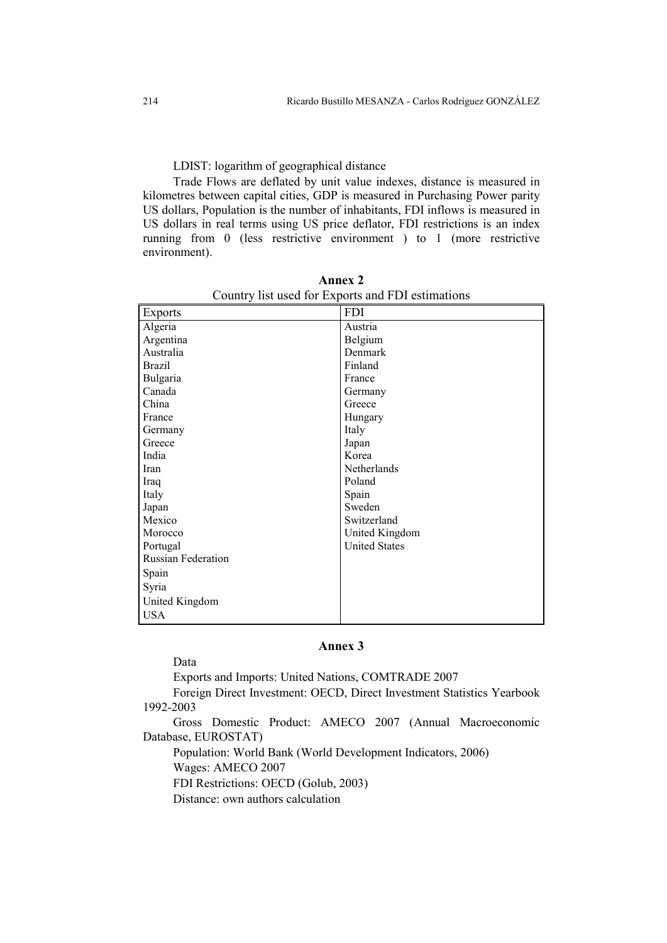LDIST: logarithm of geographical distance

Trade Flows are deflated by unit value indexes, distance is measured in kilometres between capital cities, GDP is measured in Purchasing Power parity US dollars, Population is the number of inhabitants, FDI inflows is measured in US dollars in real terms using US price deflator, FDI restrictions is an index running from 0 (less restrictive environment ) to 1 (more restrictive environment).

| <b>Exports</b>            | <b>FDI</b>           |
|---------------------------|----------------------|
| Algeria                   | Austria              |
| Argentina                 | Belgium              |
| Australia                 | Denmark              |
| <b>Brazil</b>             | Finland              |
| Bulgaria                  | France               |
| Canada                    | Germany              |
| China                     | Greece               |
| France                    | Hungary              |
| Germany                   | Italy                |
| Greece                    | Japan                |
| India                     | Korea                |
| Iran                      | Netherlands          |
| Iraq                      | Poland               |
| Italy                     | Spain                |
| Japan                     | Sweden               |
| Mexico                    | Switzerland          |
| Morocco                   | United Kingdom       |
| Portugal                  | <b>United States</b> |
| <b>Russian Federation</b> |                      |
| Spain                     |                      |
| Syria                     |                      |
| United Kingdom            |                      |
| <b>USA</b>                |                      |

**Annex 2**  Country list used for Exports and FDI estimations

# **Annex 3**

Data

Exports and Imports: United Nations, COMTRADE 2007

Foreign Direct Investment: OECD, Direct Investment Statistics Yearbook 1992-2003

Gross Domestic Product: AMECO 2007 (Annual Macroeconomic Database, EUROSTAT)

Population: World Bank (World Development Indicators, 2006) Wages: AMECO 2007

FDI Restrictions: OECD (Golub, 2003)

Distance: own authors calculation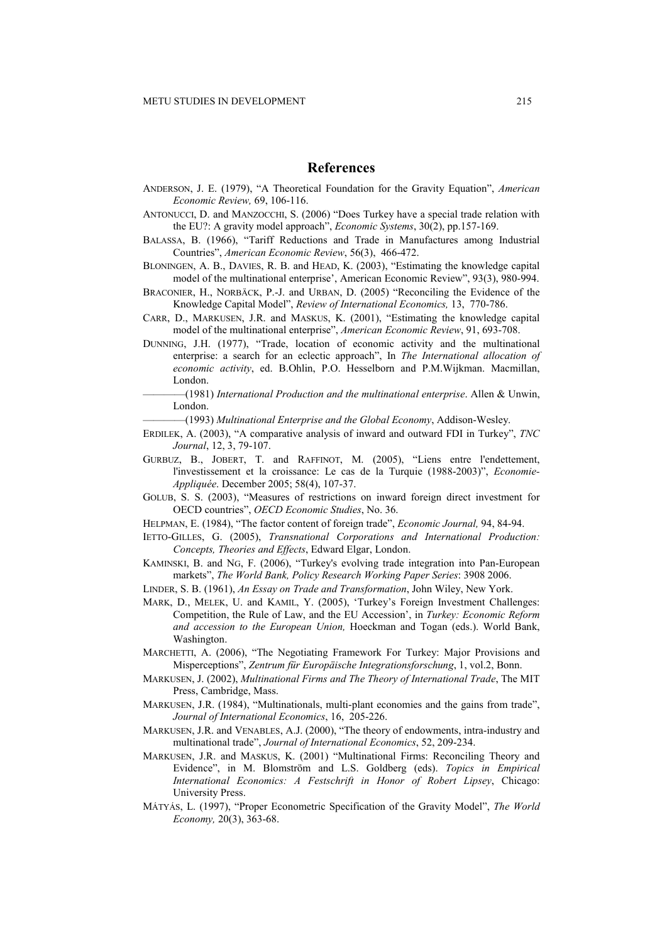#### **References**

- ANDERSON, J. E. (1979), "A Theoretical Foundation for the Gravity Equation", *American Economic Review,* 69, 106-116.
- ANTONUCCI, D. and MANZOCCHI, S. (2006) "Does Turkey have a special trade relation with the EU?: A gravity model approach", *Economic Systems*, 30(2), pp.157-169.
- BALASSA, B. (1966), "Tariff Reductions and Trade in Manufactures among Industrial Countries", *American Economic Review*, 56(3), 466-472.
- BLONINGEN, A. B., DAVIES, R. B. and HEAD, K. (2003), "Estimating the knowledge capital model of the multinational enterprise', American Economic Review", 93(3), 980-994.
- BRACONIER, H., NORBÄCK, P.-J. and URBAN, D. (2005) "Reconciling the Evidence of the Knowledge Capital Model", *Review of International Economics,* 13, 770-786.
- CARR, D., MARKUSEN, J.R. and MASKUS, K. (2001), "Estimating the knowledge capital model of the multinational enterprise", *American Economic Review*, 91, 693-708.
- DUNNING, J.H. (1977), "Trade, location of economic activity and the multinational enterprise: a search for an eclectic approach", In *The International allocation of economic activity*, ed. B.Ohlin, P.O. Hesselborn and P.M.Wijkman. Macmillan, London.
	- ————(1981) *International Production and the multinational enterprise*. Allen & Unwin, London.
		- $-(1993)$  *Multinational Enterprise and the Global Economy*, Addison-Wesley.
- ERDILEK, A. (2003), "A comparative analysis of inward and outward FDI in Turkey", *TNC Journal*, 12, 3, 79-107.
- GURBUZ, B., JOBERT, T. and RAFFINOT, M. (2005), "Liens entre l'endettement, l'investissement et la croissance: Le cas de la Turquie (1988-2003)", *Economie-Appliquée*. December 2005; 58(4), 107-37.
- GOLUB, S. S. (2003), "Measures of restrictions on inward foreign direct investment for OECD countries", *OECD Economic Studies*, No. 36.
- HELPMAN, E. (1984), "The factor content of foreign trade", *Economic Journal,* 94, 84-94.
- IETTO-GILLES, G. (2005), *Transnational Corporations and International Production: Concepts, Theories and Effects*, Edward Elgar, London.
- KAMINSKI, B. and NG, F. (2006), "Turkey's evolving trade integration into Pan-European markets", *The World Bank, Policy Research Working Paper Series*: 3908 2006.
- LINDER, S. B. (1961), *An Essay on Trade and Transformation*, John Wiley, New York.
- MARK, D., MELEK, U. and KAMIL, Y. (2005), 'Turkey's Foreign Investment Challenges: Competition, the Rule of Law, and the EU Accession', in *Turkey: Economic Reform and accession to the European Union,* Hoeckman and Togan (eds.). World Bank, Washington.
- MARCHETTI, A. (2006), "The Negotiating Framework For Turkey: Major Provisions and Misperceptions", *Zentrum für Europäische Integrationsforschung*, 1, vol.2, Bonn.
- MARKUSEN, J. (2002), *Multinational Firms and The Theory of International Trade*, The MIT Press, Cambridge, Mass.
- MARKUSEN, J.R. (1984), "Multinationals, multi-plant economies and the gains from trade", *Journal of International Economics*, 16, 205-226.
- MARKUSEN, J.R. and VENABLES, A.J. (2000), "The theory of endowments, intra-industry and multinational trade", *Journal of International Economics*, 52, 209-234.
- MARKUSEN, J.R. and MASKUS, K. (2001) "Multinational Firms: Reconciling Theory and Evidence", in M. Blomström and L.S. Goldberg (eds). *Topics in Empirical International Economics: A Festschrift in Honor of Robert Lipsey*, Chicago: University Press.
- MÁTYÁS, L. (1997), "Proper Econometric Specification of the Gravity Model", *The World Economy,* 20(3), 363-68.